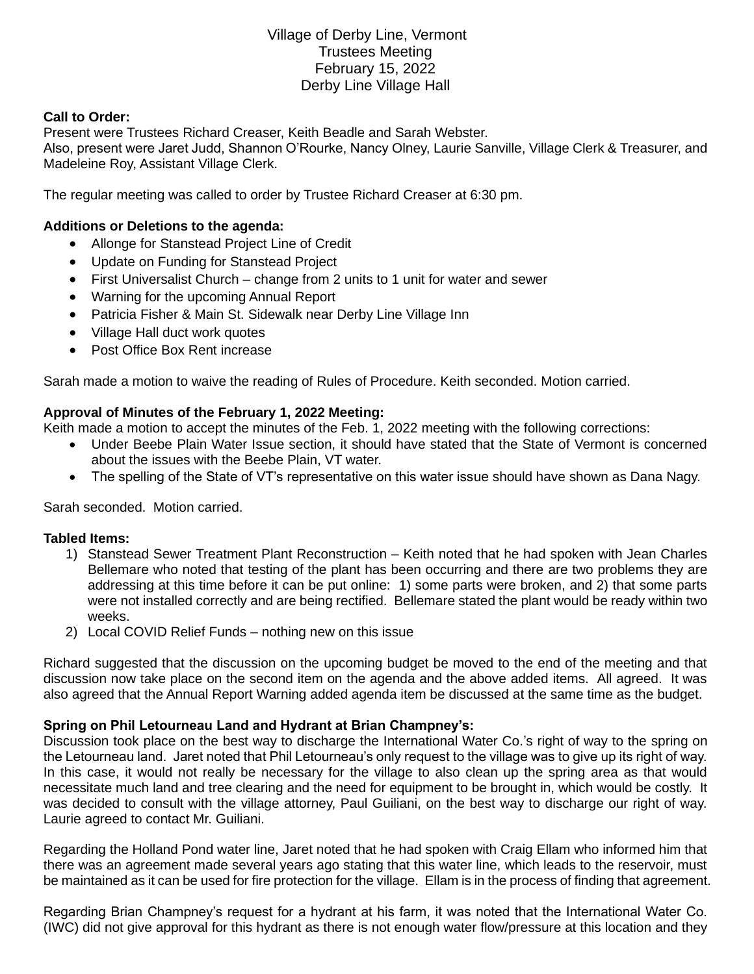# Village of Derby Line, Vermont Trustees Meeting February 15, 2022 Derby Line Village Hall

### **Call to Order:**

Present were Trustees Richard Creaser, Keith Beadle and Sarah Webster. Also, present were Jaret Judd, Shannon O'Rourke, Nancy Olney, Laurie Sanville, Village Clerk & Treasurer, and Madeleine Roy, Assistant Village Clerk.

The regular meeting was called to order by Trustee Richard Creaser at 6:30 pm.

### **Additions or Deletions to the agenda:**

- Allonge for Stanstead Project Line of Credit
- Update on Funding for Stanstead Project
- First Universalist Church change from 2 units to 1 unit for water and sewer
- Warning for the upcoming Annual Report
- Patricia Fisher & Main St. Sidewalk near Derby Line Village Inn
- Village Hall duct work quotes
- Post Office Box Rent increase

Sarah made a motion to waive the reading of Rules of Procedure. Keith seconded. Motion carried.

# **Approval of Minutes of the February 1, 2022 Meeting:**

Keith made a motion to accept the minutes of the Feb. 1, 2022 meeting with the following corrections:

- Under Beebe Plain Water Issue section, it should have stated that the State of Vermont is concerned about the issues with the Beebe Plain, VT water.
- The spelling of the State of VT's representative on this water issue should have shown as Dana Nagy.

Sarah seconded. Motion carried.

#### **Tabled Items:**

- 1) Stanstead Sewer Treatment Plant Reconstruction Keith noted that he had spoken with Jean Charles Bellemare who noted that testing of the plant has been occurring and there are two problems they are addressing at this time before it can be put online: 1) some parts were broken, and 2) that some parts were not installed correctly and are being rectified. Bellemare stated the plant would be ready within two weeks.
- 2) Local COVID Relief Funds nothing new on this issue

Richard suggested that the discussion on the upcoming budget be moved to the end of the meeting and that discussion now take place on the second item on the agenda and the above added items. All agreed. It was also agreed that the Annual Report Warning added agenda item be discussed at the same time as the budget.

#### **Spring on Phil Letourneau Land and Hydrant at Brian Champney's:**

Discussion took place on the best way to discharge the International Water Co.'s right of way to the spring on the Letourneau land. Jaret noted that Phil Letourneau's only request to the village was to give up its right of way. In this case, it would not really be necessary for the village to also clean up the spring area as that would necessitate much land and tree clearing and the need for equipment to be brought in, which would be costly. It was decided to consult with the village attorney, Paul Guiliani, on the best way to discharge our right of way. Laurie agreed to contact Mr. Guiliani.

Regarding the Holland Pond water line, Jaret noted that he had spoken with Craig Ellam who informed him that there was an agreement made several years ago stating that this water line, which leads to the reservoir, must be maintained as it can be used for fire protection for the village. Ellam is in the process of finding that agreement.

Regarding Brian Champney's request for a hydrant at his farm, it was noted that the International Water Co. (IWC) did not give approval for this hydrant as there is not enough water flow/pressure at this location and they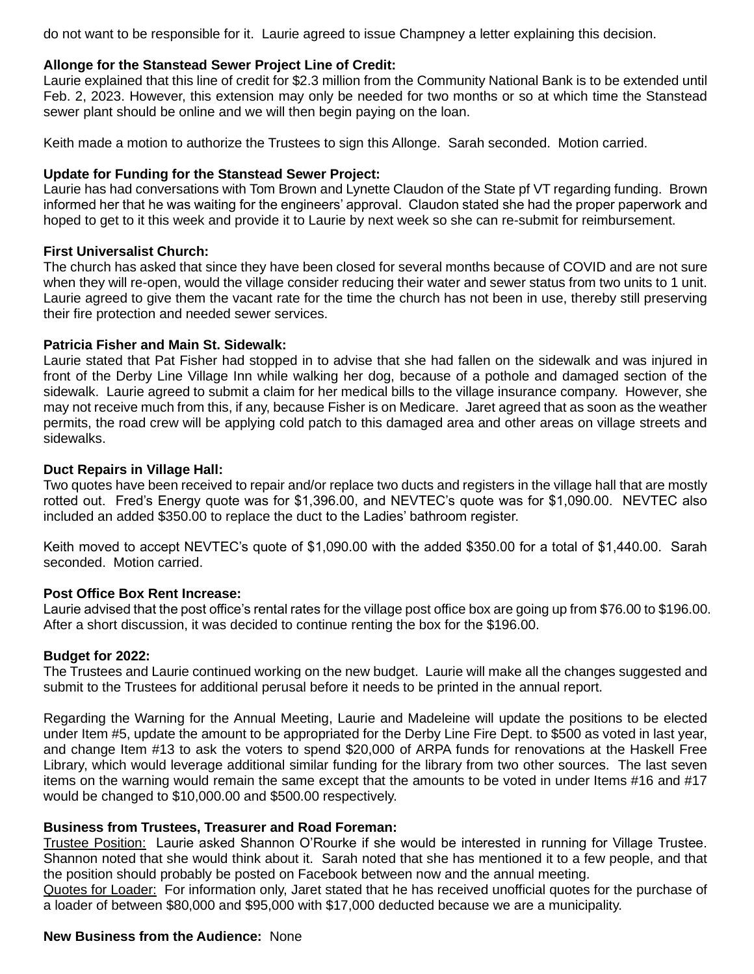do not want to be responsible for it. Laurie agreed to issue Champney a letter explaining this decision.

### **Allonge for the Stanstead Sewer Project Line of Credit:**

Laurie explained that this line of credit for \$2.3 million from the Community National Bank is to be extended until Feb. 2, 2023. However, this extension may only be needed for two months or so at which time the Stanstead sewer plant should be online and we will then begin paying on the loan.

Keith made a motion to authorize the Trustees to sign this Allonge. Sarah seconded. Motion carried.

### **Update for Funding for the Stanstead Sewer Project:**

Laurie has had conversations with Tom Brown and Lynette Claudon of the State pf VT regarding funding. Brown informed her that he was waiting for the engineers' approval. Claudon stated she had the proper paperwork and hoped to get to it this week and provide it to Laurie by next week so she can re-submit for reimbursement.

### **First Universalist Church:**

The church has asked that since they have been closed for several months because of COVID and are not sure when they will re-open, would the village consider reducing their water and sewer status from two units to 1 unit. Laurie agreed to give them the vacant rate for the time the church has not been in use, thereby still preserving their fire protection and needed sewer services.

### **Patricia Fisher and Main St. Sidewalk:**

Laurie stated that Pat Fisher had stopped in to advise that she had fallen on the sidewalk and was injured in front of the Derby Line Village Inn while walking her dog, because of a pothole and damaged section of the sidewalk. Laurie agreed to submit a claim for her medical bills to the village insurance company. However, she may not receive much from this, if any, because Fisher is on Medicare. Jaret agreed that as soon as the weather permits, the road crew will be applying cold patch to this damaged area and other areas on village streets and sidewalks.

### **Duct Repairs in Village Hall:**

Two quotes have been received to repair and/or replace two ducts and registers in the village hall that are mostly rotted out. Fred's Energy quote was for \$1,396.00, and NEVTEC's quote was for \$1,090.00. NEVTEC also included an added \$350.00 to replace the duct to the Ladies' bathroom register.

Keith moved to accept NEVTEC's quote of \$1,090.00 with the added \$350.00 for a total of \$1,440.00. Sarah seconded. Motion carried.

#### **Post Office Box Rent Increase:**

Laurie advised that the post office's rental rates for the village post office box are going up from \$76.00 to \$196.00. After a short discussion, it was decided to continue renting the box for the \$196.00.

#### **Budget for 2022:**

The Trustees and Laurie continued working on the new budget. Laurie will make all the changes suggested and submit to the Trustees for additional perusal before it needs to be printed in the annual report.

Regarding the Warning for the Annual Meeting, Laurie and Madeleine will update the positions to be elected under Item #5, update the amount to be appropriated for the Derby Line Fire Dept. to \$500 as voted in last year, and change Item #13 to ask the voters to spend \$20,000 of ARPA funds for renovations at the Haskell Free Library, which would leverage additional similar funding for the library from two other sources. The last seven items on the warning would remain the same except that the amounts to be voted in under Items #16 and #17 would be changed to \$10,000.00 and \$500.00 respectively.

# **Business from Trustees, Treasurer and Road Foreman:**

Trustee Position: Laurie asked Shannon O'Rourke if she would be interested in running for Village Trustee. Shannon noted that she would think about it. Sarah noted that she has mentioned it to a few people, and that the position should probably be posted on Facebook between now and the annual meeting.

Quotes for Loader: For information only, Jaret stated that he has received unofficial quotes for the purchase of a loader of between \$80,000 and \$95,000 with \$17,000 deducted because we are a municipality.

#### **New Business from the Audience:** None